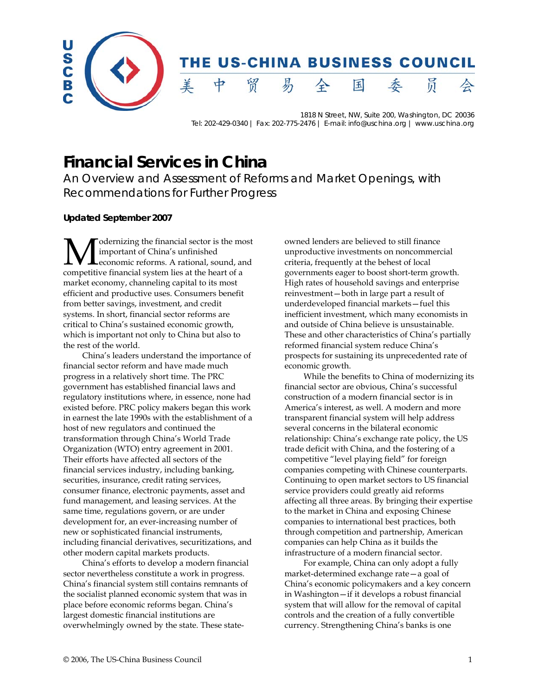

1818 N Street, NW, Suite 200, Washington, DC 20036 Tel: 202-429-0340 | Fax: 202-775-2476 | E-mail: info@uschina.org | www.uschina.org

# **Financial Services in China**

An Overview and Assessment of Reforms and Market Openings, with Recommendations for Further Progress

# **Updated September 2007**

odernizing the financial sector is the most important of China's unfinished economic reforms. A rational, sound, and **M** dernizing the financial sector is the momentum of China's unfinished economic reforms. A rational, sound, are competitive financial system lies at the heart of a market economy, channeling capital to its most efficient and productive uses. Consumers benefit from better savings, investment, and credit systems. In short, financial sector reforms are critical to China's sustained economic growth, which is important not only to China but also to the rest of the world.

China's leaders understand the importance of financial sector reform and have made much progress in a relatively short time. The PRC government has established financial laws and regulatory institutions where, in essence, none had existed before. PRC policy makers began this work in earnest the late 1990s with the establishment of a host of new regulators and continued the transformation through China's World Trade Organization (WTO) entry agreement in 2001. Their efforts have affected all sectors of the financial services industry, including banking, securities, insurance, credit rating services, consumer finance, electronic payments, asset and fund management, and leasing services. At the same time, regulations govern, or are under development for, an ever-increasing number of new or sophisticated financial instruments, including financial derivatives, securitizations, and other modern capital markets products.

China's efforts to develop a modern financial sector nevertheless constitute a work in progress. China's financial system still contains remnants of the socialist planned economic system that was in place before economic reforms began. China's largest domestic financial institutions are overwhelmingly owned by the state. These stateowned lenders are believed to still finance unproductive investments on noncommercial criteria, frequently at the behest of local governments eager to boost short-term growth. High rates of household savings and enterprise reinvestment—both in large part a result of underdeveloped financial markets—fuel this inefficient investment, which many economists in and outside of China believe is unsustainable. These and other characteristics of China's partially reformed financial system reduce China's prospects for sustaining its unprecedented rate of economic growth.

While the benefits to China of modernizing its financial sector are obvious, China's successful construction of a modern financial sector is in America's interest, as well. A modern and more transparent financial system will help address several concerns in the bilateral economic relationship: China's exchange rate policy, the US trade deficit with China, and the fostering of a competitive "level playing field" for foreign companies competing with Chinese counterparts. Continuing to open market sectors to US financial service providers could greatly aid reforms affecting all three areas. By bringing their expertise to the market in China and exposing Chinese companies to international best practices, both through competition and partnership, American companies can help China as it builds the infrastructure of a modern financial sector.

For example, China can only adopt a fully market-determined exchange rate—a goal of China's economic policymakers and a key concern in Washington—if it develops a robust financial system that will allow for the removal of capital controls and the creation of a fully convertible currency. Strengthening China's banks is one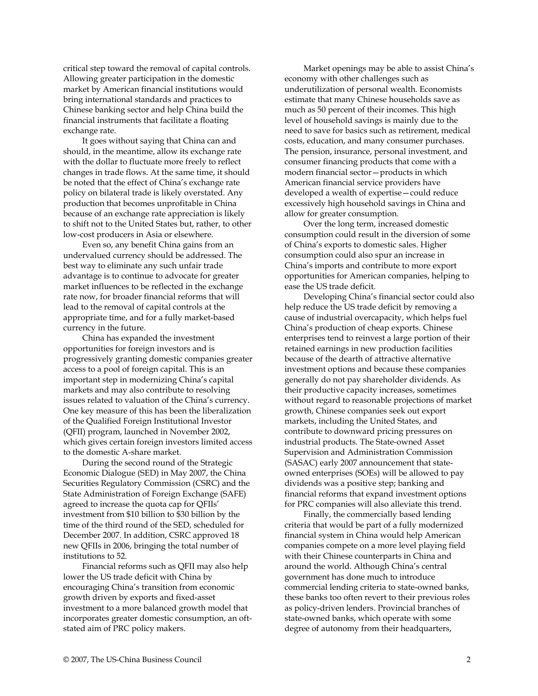critical step toward the removal of capital controls. Allowing greater participation in the domestic market by American financial institutions would bring international standards and practices to Chinese banking sector and help China build the financial instruments that facilitate a floating exchange rate.

It goes without saying that China can and should, in the meantime, allow its exchange rate with the dollar to fluctuate more freely to reflect changes in trade flows. At the same time, it should be noted that the effect of China's exchange rate policy on bilateral trade is likely overstated. Any production that becomes unprofitable in China because of an exchange rate appreciation is likely to shift not to the United States but, rather, to other low-cost producers in Asia or elsewhere.

Even so, any benefit China gains from an undervalued currency should be addressed. The best way to eliminate any such unfair trade advantage is to continue to advocate for greater market influences to be reflected in the exchange rate now, for broader financial reforms that will lead to the removal of capital controls at the appropriate time, and for a fully market-based currency in the future.

China has expanded the investment opportunities for foreign investors and is progressively granting domestic companies greater access to a pool of foreign capital. This is an important step in modernizing China's capital markets and may also contribute to resolving issues related to valuation of the China's currency. One key measure of this has been the liberalization of the Qualified Foreign Institutional Investor (QFII) program, launched in November 2002, which gives certain foreign investors limited access to the domestic A-share market.

During the second round of the Strategic Economic Dialogue (SED) in May 2007, the China Securities Regulatory Commission (CSRC) and the State Administration of Foreign Exchange (SAFE) agreed to increase the quota cap for QFIIs' investment from \$10 billion to \$30 billion by the time of the third round of the SED, scheduled for December 2007. In addition, CSRC approved 18 new QFIIs in 2006, bringing the total number of institutions to 52.

Financial reforms such as QFII may also help lower the US trade deficit with China by encouraging China's transition from economic growth driven by exports and fixed-asset investment to a more balanced growth model that incorporates greater domestic consumption, an oftstated aim of PRC policy makers.

Market openings may be able to assist China's economy with other challenges such as underutilization of personal wealth. Economists estimate that many Chinese households save as much as 50 percent of their incomes. This high level of household savings is mainly due to the need to save for basics such as retirement, medical costs, education, and many consumer purchases. The pension, insurance, personal investment, and consumer financing products that come with a modern financial sector—products in which American financial service providers have developed a wealth of expertise—could reduce excessively high household savings in China and allow for greater consumption.

Over the long term, increased domestic consumption could result in the diversion of some of China's exports to domestic sales. Higher consumption could also spur an increase in China's imports and contribute to more export opportunities for American companies, helping to ease the US trade deficit.

Developing China's financial sector could also help reduce the US trade deficit by removing a cause of industrial overcapacity, which helps fuel China's production of cheap exports. Chinese enterprises tend to reinvest a large portion of their retained earnings in new production facilities because of the dearth of attractive alternative investment options and because these companies generally do not pay shareholder dividends. As their productive capacity increases, sometimes without regard to reasonable projections of market growth, Chinese companies seek out export markets, including the United States, and contribute to downward pricing pressures on industrial products. The State-owned Asset Supervision and Administration Commission (SASAC) early 2007 announcement that stateowned enterprises (SOEs) will be allowed to pay dividends was a positive step; banking and financial reforms that expand investment options for PRC companies will also alleviate this trend.

Finally, the commercially based lending criteria that would be part of a fully modernized financial system in China would help American companies compete on a more level playing field with their Chinese counterparts in China and around the world. Although China's central government has done much to introduce commercial lending criteria to state-owned banks, these banks too often revert to their previous roles as policy-driven lenders. Provincial branches of state-owned banks, which operate with some degree of autonomy from their headquarters,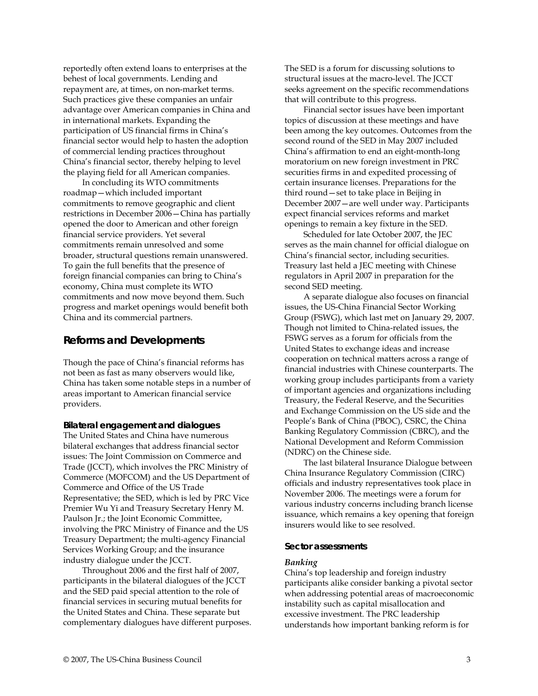reportedly often extend loans to enterprises at the behest of local governments. Lending and repayment are, at times, on non-market terms. Such practices give these companies an unfair advantage over American companies in China and in international markets. Expanding the participation of US financial firms in China's financial sector would help to hasten the adoption of commercial lending practices throughout China's financial sector, thereby helping to level the playing field for all American companies.

In concluding its WTO commitments roadmap—which included important commitments to remove geographic and client restrictions in December 2006—China has partially opened the door to American and other foreign financial service providers. Yet several commitments remain unresolved and some broader, structural questions remain unanswered. To gain the full benefits that the presence of foreign financial companies can bring to China's economy, China must complete its WTO commitments and now move beyond them. Such progress and market openings would benefit both China and its commercial partners.

# **Reforms and Developments**

Though the pace of China's financial reforms has not been as fast as many observers would like, China has taken some notable steps in a number of areas important to American financial service providers.

### **Bilateral engagement and dialogues**

The United States and China have numerous bilateral exchanges that address financial sector issues: The Joint Commission on Commerce and Trade (JCCT), which involves the PRC Ministry of Commerce (MOFCOM) and the US Department of Commerce and Office of the US Trade Representative; the SED, which is led by PRC Vice Premier Wu Yi and Treasury Secretary Henry M. Paulson Jr.; the Joint Economic Committee, involving the PRC Ministry of Finance and the US Treasury Department; the multi-agency Financial Services Working Group; and the insurance industry dialogue under the JCCT.

Throughout 2006 and the first half of 2007, participants in the bilateral dialogues of the JCCT and the SED paid special attention to the role of financial services in securing mutual benefits for the United States and China. These separate but complementary dialogues have different purposes. The SED is a forum for discussing solutions to structural issues at the macro-level. The JCCT seeks agreement on the specific recommendations that will contribute to this progress.

Financial sector issues have been important topics of discussion at these meetings and have been among the key outcomes. Outcomes from the second round of the SED in May 2007 included China's affirmation to end an eight-month-long moratorium on new foreign investment in PRC securities firms in and expedited processing of certain insurance licenses. Preparations for the third round—set to take place in Beijing in December 2007—are well under way. Participants expect financial services reforms and market openings to remain a key fixture in the SED.

Scheduled for late October 2007, the JEC serves as the main channel for official dialogue on China's financial sector, including securities. Treasury last held a JEC meeting with Chinese regulators in April 2007 in preparation for the second SED meeting.

A separate dialogue also focuses on financial issues, the US-China Financial Sector Working Group (FSWG), which last met on January 29, 2007. Though not limited to China-related issues, the FSWG serves as a forum for officials from the United States to exchange ideas and increase cooperation on technical matters across a range of financial industries with Chinese counterparts. The working group includes participants from a variety of important agencies and organizations including Treasury, the Federal Reserve, and the Securities and Exchange Commission on the US side and the People's Bank of China (PBOC), CSRC, the China Banking Regulatory Commission (CBRC), and the National Development and Reform Commission (NDRC) on the Chinese side.

The last bilateral Insurance Dialogue between China Insurance Regulatory Commission (CIRC) officials and industry representatives took place in November 2006. The meetings were a forum for various industry concerns including branch license issuance, which remains a key opening that foreign insurers would like to see resolved.

### **Sector assessments**

#### *Banking*

China's top leadership and foreign industry participants alike consider banking a pivotal sector when addressing potential areas of macroeconomic instability such as capital misallocation and excessive investment. The PRC leadership understands how important banking reform is for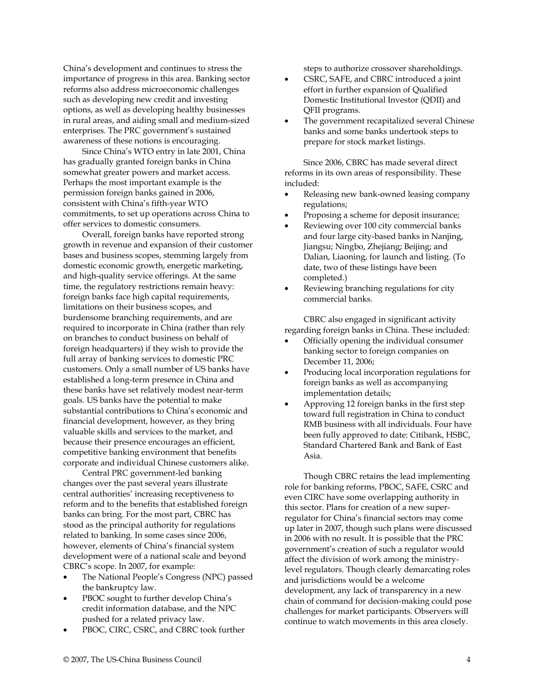China's development and continues to stress the importance of progress in this area. Banking sector reforms also address microeconomic challenges such as developing new credit and investing options, as well as developing healthy businesses in rural areas, and aiding small and medium-sized enterprises. The PRC government's sustained awareness of these notions is encouraging.

Since China's WTO entry in late 2001, China has gradually granted foreign banks in China somewhat greater powers and market access. Perhaps the most important example is the permission foreign banks gained in 2006, consistent with China's fifth-year WTO commitments, to set up operations across China to offer services to domestic consumers.

Overall, foreign banks have reported strong growth in revenue and expansion of their customer bases and business scopes, stemming largely from domestic economic growth, energetic marketing, and high-quality service offerings. At the same time, the regulatory restrictions remain heavy: foreign banks face high capital requirements, limitations on their business scopes, and burdensome branching requirements, and are required to incorporate in China (rather than rely on branches to conduct business on behalf of foreign headquarters) if they wish to provide the full array of banking services to domestic PRC customers. Only a small number of US banks have established a long-term presence in China and these banks have set relatively modest near-term goals. US banks have the potential to make substantial contributions to China's economic and financial development, however, as they bring valuable skills and services to the market, and because their presence encourages an efficient, competitive banking environment that benefits corporate and individual Chinese customers alike.

Central PRC government-led banking changes over the past several years illustrate central authorities' increasing receptiveness to reform and to the benefits that established foreign banks can bring. For the most part, CBRC has stood as the principal authority for regulations related to banking. In some cases since 2006, however, elements of China's financial system development were of a national scale and beyond CBRC's scope. In 2007, for example:

- The National People's Congress (NPC) passed the bankruptcy law.
- PBOC sought to further develop China's credit information database, and the NPC pushed for a related privacy law.
- PBOC, CIRC, CSRC, and CBRC took further

steps to authorize crossover shareholdings.

- CSRC, SAFE, and CBRC introduced a joint effort in further expansion of Qualified Domestic Institutional Investor (QDII) and QFII programs.
- The government recapitalized several Chinese banks and some banks undertook steps to prepare for stock market listings.

Since 2006, CBRC has made several direct reforms in its own areas of responsibility. These included:

- Releasing new bank-owned leasing company regulations;
- Proposing a scheme for deposit insurance;
- Reviewing over 100 city commercial banks and four large city-based banks in Nanjing, Jiangsu; Ningbo, Zhejiang; Beijing; and Dalian, Liaoning, for launch and listing. (To date, two of these listings have been completed.)
- Reviewing branching regulations for city commercial banks.

CBRC also engaged in significant activity regarding foreign banks in China. These included:

- Officially opening the individual consumer banking sector to foreign companies on December 11, 2006;
- Producing local incorporation regulations for foreign banks as well as accompanying implementation details;
- Approving 12 foreign banks in the first step toward full registration in China to conduct RMB business with all individuals. Four have been fully approved to date: Citibank, HSBC, Standard Chartered Bank and Bank of East Asia.

Though CBRC retains the lead implementing role for banking reforms, PBOC, SAFE, CSRC and even CIRC have some overlapping authority in this sector. Plans for creation of a new superregulator for China's financial sectors may come up later in 2007, though such plans were discussed in 2006 with no result. It is possible that the PRC government's creation of such a regulator would affect the division of work among the ministrylevel regulators. Though clearly demarcating roles and jurisdictions would be a welcome development, any lack of transparency in a new chain of command for decision-making could pose challenges for market participants. Observers will continue to watch movements in this area closely.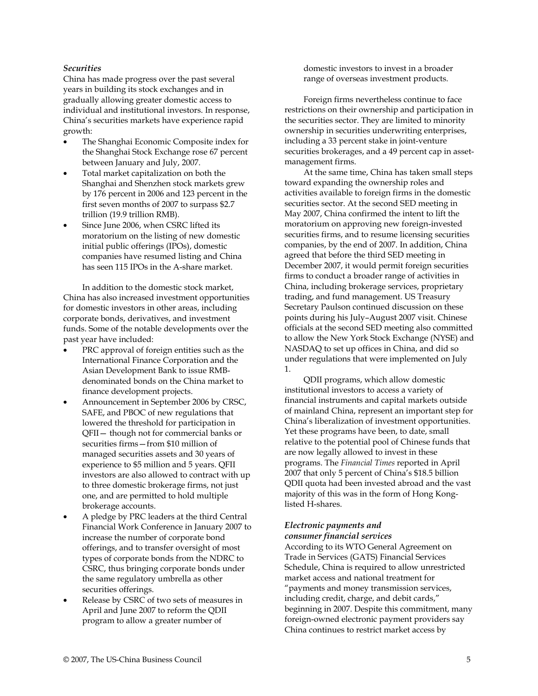# *Securities*

China has made progress over the past several years in building its stock exchanges and in gradually allowing greater domestic access to individual and institutional investors. In response, China's securities markets have experience rapid growth:

- The Shanghai Economic Composite index for the Shanghai Stock Exchange rose 67 percent between January and July, 2007.
- Total market capitalization on both the Shanghai and Shenzhen stock markets grew by 176 percent in 2006 and 123 percent in the first seven months of 2007 to surpass \$2.7 trillion (19.9 trillion RMB).
- Since June 2006, when CSRC lifted its moratorium on the listing of new domestic initial public offerings (IPOs), domestic companies have resumed listing and China has seen 115 IPOs in the A-share market.

In addition to the domestic stock market, China has also increased investment opportunities for domestic investors in other areas, including corporate bonds, derivatives, and investment funds. Some of the notable developments over the past year have included:

- PRC approval of foreign entities such as the International Finance Corporation and the Asian Development Bank to issue RMBdenominated bonds on the China market to finance development projects.
- Announcement in September 2006 by CRSC, SAFE, and PBOC of new regulations that lowered the threshold for participation in QFII— though not for commercial banks or securities firms—from \$10 million of managed securities assets and 30 years of experience to \$5 million and 5 years. QFII investors are also allowed to contract with up to three domestic brokerage firms, not just one, and are permitted to hold multiple brokerage accounts.
- A pledge by PRC leaders at the third Central Financial Work Conference in January 2007 to increase the number of corporate bond offerings, and to transfer oversight of most types of corporate bonds from the NDRC to CSRC, thus bringing corporate bonds under the same regulatory umbrella as other securities offerings.
- Release by CSRC of two sets of measures in April and June 2007 to reform the QDII program to allow a greater number of

domestic investors to invest in a broader range of overseas investment products.

Foreign firms nevertheless continue to face restrictions on their ownership and participation in the securities sector. They are limited to minority ownership in securities underwriting enterprises, including a 33 percent stake in joint-venture securities brokerages, and a 49 percent cap in assetmanagement firms.

At the same time, China has taken small steps toward expanding the ownership roles and activities available to foreign firms in the domestic securities sector. At the second SED meeting in May 2007, China confirmed the intent to lift the moratorium on approving new foreign-invested securities firms, and to resume licensing securities companies, by the end of 2007. In addition, China agreed that before the third SED meeting in December 2007, it would permit foreign securities firms to conduct a broader range of activities in China, including brokerage services, proprietary trading, and fund management. US Treasury Secretary Paulson continued discussion on these points during his July–August 2007 visit. Chinese officials at the second SED meeting also committed to allow the New York Stock Exchange (NYSE) and NASDAQ to set up offices in China, and did so under regulations that were implemented on July 1.

QDII programs, which allow domestic institutional investors to access a variety of financial instruments and capital markets outside of mainland China, represent an important step for China's liberalization of investment opportunities. Yet these programs have been, to date, small relative to the potential pool of Chinese funds that are now legally allowed to invest in these programs. The *Financial Times* reported in April 2007 that only 5 percent of China's \$18.5 billion QDII quota had been invested abroad and the vast majority of this was in the form of Hong Konglisted H-shares.

#### *Electronic payments and consumer financial services*

According to its WTO General Agreement on Trade in Services (GATS) Financial Services Schedule, China is required to allow unrestricted market access and national treatment for "payments and money transmission services, including credit, charge, and debit cards," beginning in 2007. Despite this commitment, many foreign-owned electronic payment providers say China continues to restrict market access by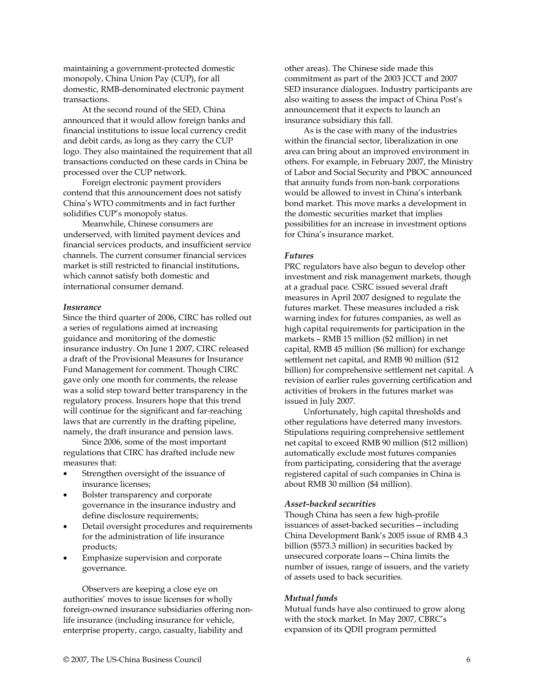maintaining a government-protected domestic monopoly, China Union Pay (CUP), for all domestic, RMB-denominated electronic payment transactions.

At the second round of the SED, China announced that it would allow foreign banks and financial institutions to issue local currency credit and debit cards, as long as they carry the CUP logo. They also maintained the requirement that all transactions conducted on these cards in China be processed over the CUP network.

Foreign electronic payment providers contend that this announcement does not satisfy China's WTO commitments and in fact further solidifies CUP's monopoly status.

Meanwhile, Chinese consumers are underserved, with limited payment devices and financial services products, and insufficient service channels. The current consumer financial services market is still restricted to financial institutions, which cannot satisfy both domestic and international consumer demand.

#### *Insurance*

Since the third quarter of 2006, CIRC has rolled out a series of regulations aimed at increasing guidance and monitoring of the domestic insurance industry. On June 1 2007, CIRC released a draft of the Provisional Measures for Insurance Fund Management for comment. Though CIRC gave only one month for comments, the release was a solid step toward better transparency in the regulatory process. Insurers hope that this trend will continue for the significant and far-reaching laws that are currently in the drafting pipeline, namely, the draft insurance and pension laws.

Since 2006, some of the most important regulations that CIRC has drafted include new measures that:

- Strengthen oversight of the issuance of insurance licenses;
- Bolster transparency and corporate governance in the insurance industry and define disclosure requirements;
- Detail oversight procedures and requirements for the administration of life insurance products;
- Emphasize supervision and corporate governance.

Observers are keeping a close eye on authorities' moves to issue licenses for wholly foreign-owned insurance subsidiaries offering nonlife insurance (including insurance for vehicle, enterprise property, cargo, casualty, liability and

other areas). The Chinese side made this commitment as part of the 2003 JCCT and 2007 SED insurance dialogues. Industry participants are also waiting to assess the impact of China Post's announcement that it expects to launch an insurance subsidiary this fall.

As is the case with many of the industries within the financial sector, liberalization in one area can bring about an improved environment in others. For example, in February 2007, the Ministry of Labor and Social Security and PBOC announced that annuity funds from non-bank corporations would be allowed to invest in China's interbank bond market. This move marks a development in the domestic securities market that implies possibilities for an increase in investment options for China's insurance market.

# *Futures*

PRC regulators have also begun to develop other investment and risk management markets, though at a gradual pace. CSRC issued several draft measures in April 2007 designed to regulate the futures market. These measures included a risk warning index for futures companies, as well as high capital requirements for participation in the markets – RMB 15 million (\$2 million) in net capital, RMB 45 million (\$6 million) for exchange settlement net capital, and RMB 90 million (\$12 billion) for comprehensive settlement net capital. A revision of earlier rules governing certification and activities of brokers in the futures market was issued in July 2007.

Unfortunately, high capital thresholds and other regulations have deterred many investors. Stipulations requiring comprehensive settlement net capital to exceed RMB 90 million (\$12 million) automatically exclude most futures companies from participating, considering that the average registered capital of such companies in China is about RMB 30 million (\$4 million).

# *Asset-backed securities*

Though China has seen a few high-profile issuances of asset-backed securities—including China Development Bank's 2005 issue of RMB 4.3 billion (\$573.3 million) in securities backed by unsecured corporate loans—China limits the number of issues, range of issuers, and the variety of assets used to back securities.

#### *Mutual funds*

Mutual funds have also continued to grow along with the stock market. In May 2007, CBRC's expansion of its QDII program permitted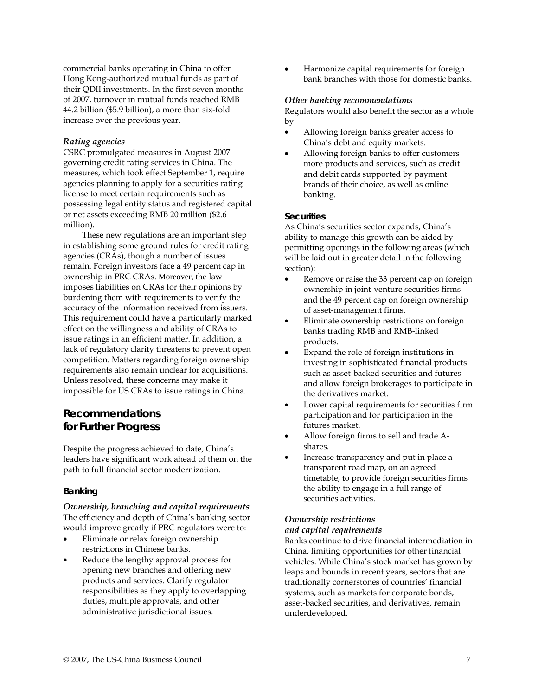commercial banks operating in China to offer Hong Kong-authorized mutual funds as part of their QDII investments. In the first seven months of 2007, turnover in mutual funds reached RMB 44.2 billion (\$5.9 billion), a more than six-fold increase over the previous year.

## *Rating agencies*

CSRC promulgated measures in August 2007 governing credit rating services in China. The measures, which took effect September 1, require agencies planning to apply for a securities rating license to meet certain requirements such as possessing legal entity status and registered capital or net assets exceeding RMB 20 million (\$2.6 million).

These new regulations are an important step in establishing some ground rules for credit rating agencies (CRAs), though a number of issues remain. Foreign investors face a 49 percent cap in ownership in PRC CRAs. Moreover, the law imposes liabilities on CRAs for their opinions by burdening them with requirements to verify the accuracy of the information received from issuers. This requirement could have a particularly marked effect on the willingness and ability of CRAs to issue ratings in an efficient matter. In addition, a lack of regulatory clarity threatens to prevent open competition. Matters regarding foreign ownership requirements also remain unclear for acquisitions. Unless resolved, these concerns may make it impossible for US CRAs to issue ratings in China.

# **Recommendations for Further Progress**

Despite the progress achieved to date, China's leaders have significant work ahead of them on the path to full financial sector modernization.

# **Banking**

*Ownership, branching and capital requirements*  The efficiency and depth of China's banking sector would improve greatly if PRC regulators were to:

- Eliminate or relax foreign ownership restrictions in Chinese banks.
- Reduce the lengthy approval process for opening new branches and offering new products and services. Clarify regulator responsibilities as they apply to overlapping duties, multiple approvals, and other administrative jurisdictional issues.

• Harmonize capital requirements for foreign bank branches with those for domestic banks.

#### *Other banking recommendations*

Regulators would also benefit the sector as a whole by

- Allowing foreign banks greater access to China's debt and equity markets.
- Allowing foreign banks to offer customers more products and services, such as credit and debit cards supported by payment brands of their choice, as well as online banking.

#### **Securities**

As China's securities sector expands, China's ability to manage this growth can be aided by permitting openings in the following areas (which will be laid out in greater detail in the following section):

- Remove or raise the 33 percent cap on foreign ownership in joint-venture securities firms and the 49 percent cap on foreign ownership of asset-management firms.
- Eliminate ownership restrictions on foreign banks trading RMB and RMB-linked products.
- Expand the role of foreign institutions in investing in sophisticated financial products such as asset-backed securities and futures and allow foreign brokerages to participate in the derivatives market.
- Lower capital requirements for securities firm participation and for participation in the futures market.
- Allow foreign firms to sell and trade Ashares.
- Increase transparency and put in place a transparent road map, on an agreed timetable, to provide foreign securities firms the ability to engage in a full range of securities activities.

# *Ownership restrictions and capital requirements*

Banks continue to drive financial intermediation in China, limiting opportunities for other financial vehicles. While China's stock market has grown by leaps and bounds in recent years, sectors that are traditionally cornerstones of countries' financial systems, such as markets for corporate bonds, asset-backed securities, and derivatives, remain underdeveloped.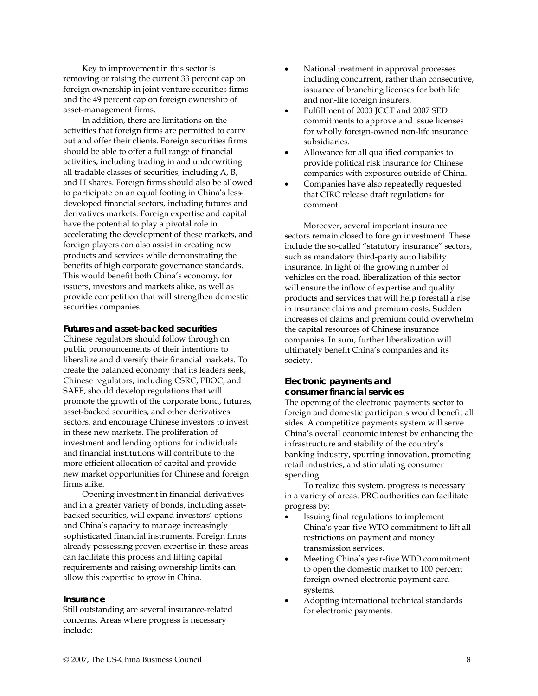Key to improvement in this sector is removing or raising the current 33 percent cap on foreign ownership in joint venture securities firms and the 49 percent cap on foreign ownership of asset-management firms.

In addition, there are limitations on the activities that foreign firms are permitted to carry out and offer their clients. Foreign securities firms should be able to offer a full range of financial activities, including trading in and underwriting all tradable classes of securities, including A, B, and H shares. Foreign firms should also be allowed to participate on an equal footing in China's lessdeveloped financial sectors, including futures and derivatives markets. Foreign expertise and capital have the potential to play a pivotal role in accelerating the development of these markets, and foreign players can also assist in creating new products and services while demonstrating the benefits of high corporate governance standards. This would benefit both China's economy, for issuers, investors and markets alike, as well as provide competition that will strengthen domestic securities companies.

#### **Futures and asset-backed securities**

Chinese regulators should follow through on public pronouncements of their intentions to liberalize and diversify their financial markets. To create the balanced economy that its leaders seek, Chinese regulators, including CSRC, PBOC, and SAFE, should develop regulations that will promote the growth of the corporate bond, futures, asset-backed securities, and other derivatives sectors, and encourage Chinese investors to invest in these new markets. The proliferation of investment and lending options for individuals and financial institutions will contribute to the more efficient allocation of capital and provide new market opportunities for Chinese and foreign firms alike.

Opening investment in financial derivatives and in a greater variety of bonds, including assetbacked securities, will expand investors' options and China's capacity to manage increasingly sophisticated financial instruments. Foreign firms already possessing proven expertise in these areas can facilitate this process and lifting capital requirements and raising ownership limits can allow this expertise to grow in China.

# **Insurance**

Still outstanding are several insurance-related concerns. Areas where progress is necessary include:

- National treatment in approval processes including concurrent, rather than consecutive, issuance of branching licenses for both life and non-life foreign insurers.
- Fulfillment of 2003 JCCT and 2007 SED commitments to approve and issue licenses for wholly foreign-owned non-life insurance subsidiaries.
- Allowance for all qualified companies to provide political risk insurance for Chinese companies with exposures outside of China.
- Companies have also repeatedly requested that CIRC release draft regulations for comment.

Moreover, several important insurance sectors remain closed to foreign investment. These include the so-called "statutory insurance" sectors, such as mandatory third-party auto liability insurance. In light of the growing number of vehicles on the road, liberalization of this sector will ensure the inflow of expertise and quality products and services that will help forestall a rise in insurance claims and premium costs. Sudden increases of claims and premium could overwhelm the capital resources of Chinese insurance companies. In sum, further liberalization will ultimately benefit China's companies and its society.

# **Electronic payments and consumer financial services**

The opening of the electronic payments sector to foreign and domestic participants would benefit all sides. A competitive payments system will serve China's overall economic interest by enhancing the infrastructure and stability of the country's banking industry, spurring innovation, promoting retail industries, and stimulating consumer spending.

To realize this system, progress is necessary in a variety of areas. PRC authorities can facilitate progress by:

- Issuing final regulations to implement China's year-five WTO commitment to lift all restrictions on payment and money transmission services.
- Meeting China's year-five WTO commitment to open the domestic market to 100 percent foreign-owned electronic payment card systems.
- Adopting international technical standards for electronic payments.